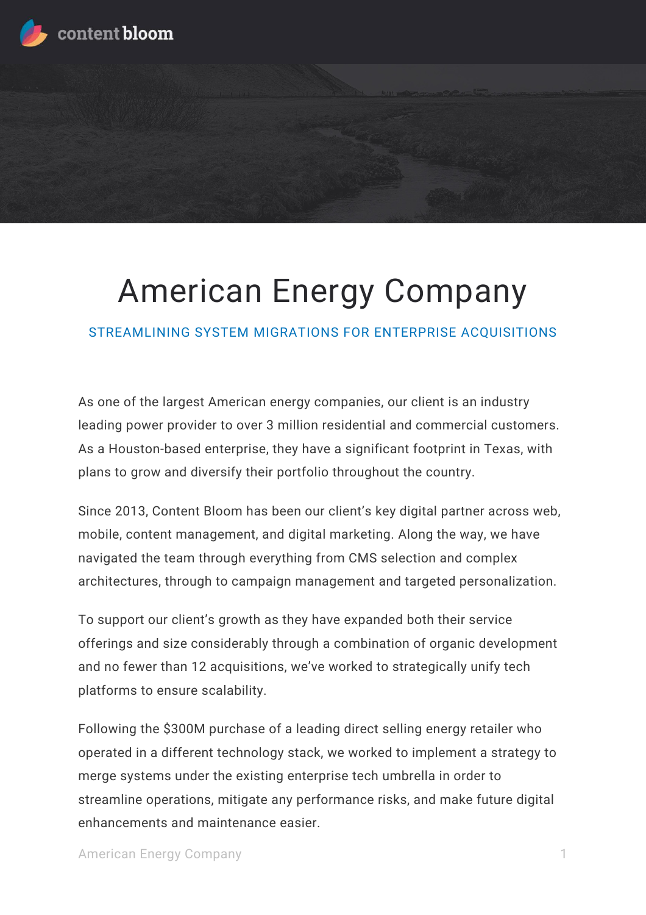

# American Energy Company

STREAMLINING SYSTEM MIGRATIONS FOR ENTERPRISE ACQUISITIONS

As one of the largest American energy companies, our client is an industry leading power provider to over 3 million residential and commercial customers. As a Houston-based enterprise, they have a significant footprint in Texas, with plans to grow and diversify their portfolio throughout the country.

Since 2013, Content Bloom has been our client's key digital partner across web, mobile, content management, and digital marketing. Along the way, we have navigated the team through everything from CMS selection and complex architectures, through to campaign management and targeted personalization.

To support our client's growth as they have expanded both their service offerings and size considerably through a combination of organic development and no fewer than 12 acquisitions, we've worked to strategically unify tech platforms to ensure scalability.

Following the \$300M purchase of a leading direct selling energy retailer who operated in a different technology stack, we worked to implement a strategy to merge systems under the existing enterprise tech umbrella in order to streamline operations, mitigate any performance risks, and make future digital enhancements and maintenance easier.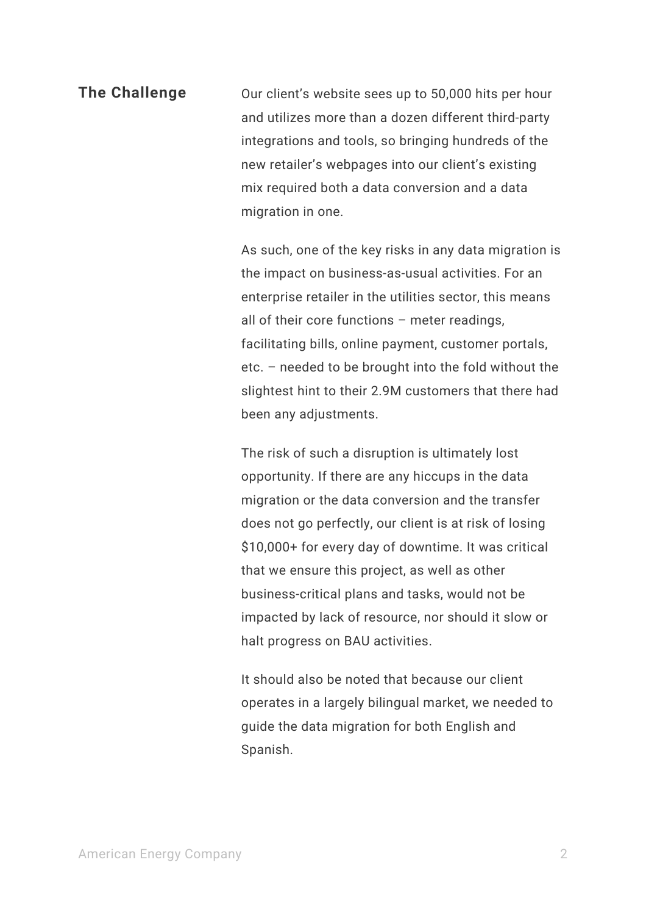# **The Challenge** Our client's website sees up to 50,000 hits per hour and utilizes more than a dozen different third-party integrations and tools, so bringing hundreds of the new retailer's webpages into our client's existing mix required both a data conversion and a data migration in one.

As such, one of the key risks in any data migration is the impact on business-as-usual activities. For an enterprise retailer in the utilities sector, this means all of their core functions – meter readings, facilitating bills, online payment, customer portals, etc. – needed to be brought into the fold without the slightest hint to their 2.9M customers that there had been any adjustments.

The risk of such a disruption is ultimately lost opportunity. If there are any hiccups in the data migration or the data conversion and the transfer does not go perfectly, our client is at risk of losing \$10,000+ for every day of downtime. It was critical that we ensure this project, as well as other business-critical plans and tasks, would not be impacted by lack of resource, nor should it slow or halt progress on BAU activities.

It should also be noted that because our client operates in a largely bilingual market, we needed to guide the data migration for both English and Spanish.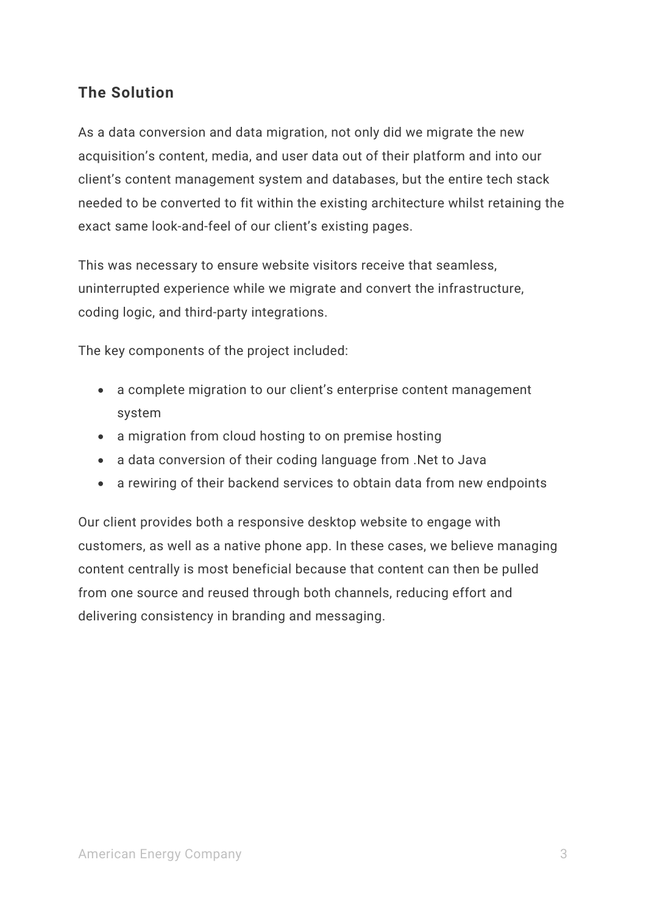#### **The Solution**

As a data conversion and data migration, not only did we migrate the new acquisition's content, media, and user data out of their platform and into our client's content management system and databases, but the entire tech stack needed to be converted to fit within the existing architecture whilst retaining the exact same look-and-feel of our client's existing pages.

This was necessary to ensure website visitors receive that seamless, uninterrupted experience while we migrate and convert the infrastructure, coding logic, and third-party integrations.

The key components of the project included:

- a complete migration to our client's enterprise content management system
- a migration from cloud hosting to on premise hosting
- a data conversion of their coding language from .Net to Java
- a rewiring of their backend services to obtain data from new endpoints

Our client provides both a responsive desktop website to engage with customers, as well as a native phone app. In these cases, we believe managing content centrally is most beneficial because that content can then be pulled from one source and reused through both channels, reducing effort and delivering consistency in branding and messaging.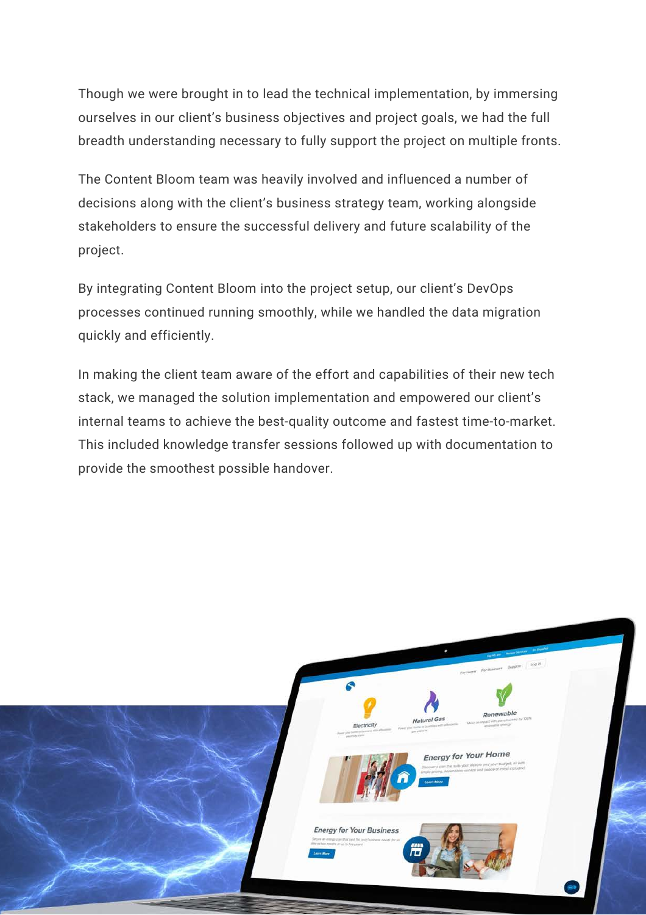Though we were brought in to lead the technical implementation, by immersing ourselves in our client's business objectives and project goals, we had the full breadth understanding necessary to fully support the project on multiple fronts.

The Content Bloom team was heavily involved and influenced a number of decisions along with the client's business strategy team, working alongside stakeholders to ensure the successful delivery and future scalability of the project.

By integrating Content Bloom into the project setup, our client's DevOps processes continued running smoothly, while we handled the data migration quickly and efficiently.

In making the client team aware of the effort and capabilities of their new tech stack, we managed the solution implementation and empowered our client's internal teams to achieve the best-quality outcome and fastest time-to-market. This included knowledge transfer sessions followed up with documentation to provide the smoothest possible handover.

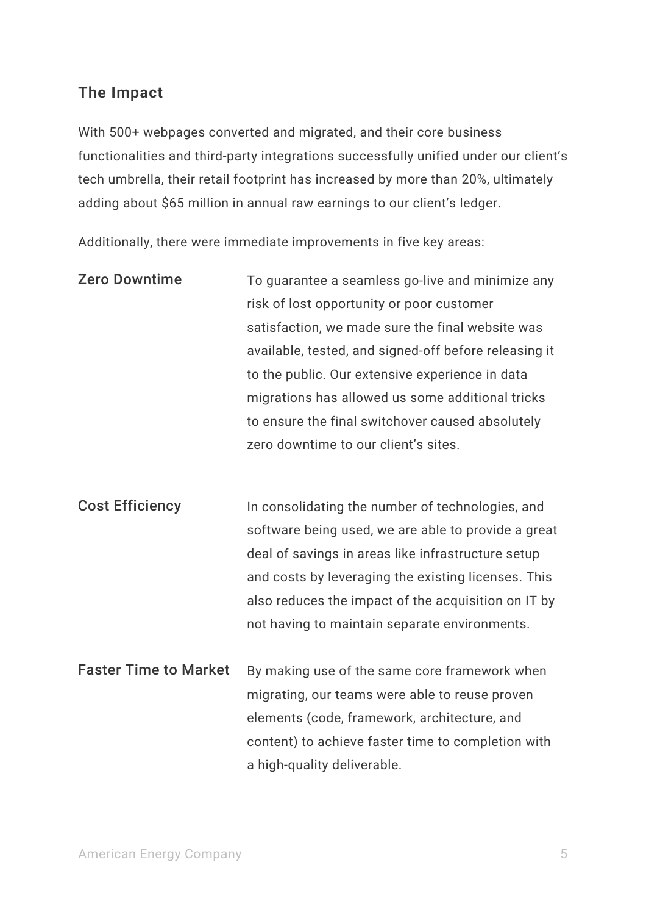#### **The Impact**

With 500+ webpages converted and migrated, and their core business functionalities and third-party integrations successfully unified under our client's tech umbrella, their retail footprint has increased by more than 20%, ultimately adding about \$65 million in annual raw earnings to our client's ledger.

Additionally, there were immediate improvements in five key areas:

| <b>Zero Downtime</b>         | To guarantee a seamless go-live and minimize any      |
|------------------------------|-------------------------------------------------------|
|                              | risk of lost opportunity or poor customer             |
|                              | satisfaction, we made sure the final website was      |
|                              | available, tested, and signed-off before releasing it |
|                              | to the public. Our extensive experience in data       |
|                              | migrations has allowed us some additional tricks      |
|                              | to ensure the final switchover caused absolutely      |
|                              | zero downtime to our client's sites.                  |
|                              |                                                       |
|                              |                                                       |
| <b>Cost Efficiency</b>       | In consolidating the number of technologies, and      |
|                              | software being used, we are able to provide a great   |
|                              | deal of savings in areas like infrastructure setup    |
|                              | and costs by leveraging the existing licenses. This   |
|                              | also reduces the impact of the acquisition on IT by   |
|                              | not having to maintain separate environments.         |
|                              |                                                       |
| <b>Faster Time to Market</b> | By making use of the same core framework when         |
|                              | migrating, our teams were able to reuse proven        |
|                              | elements (code, framework, architecture, and          |
|                              | content) to achieve faster time to completion with    |
|                              | a high-quality deliverable.                           |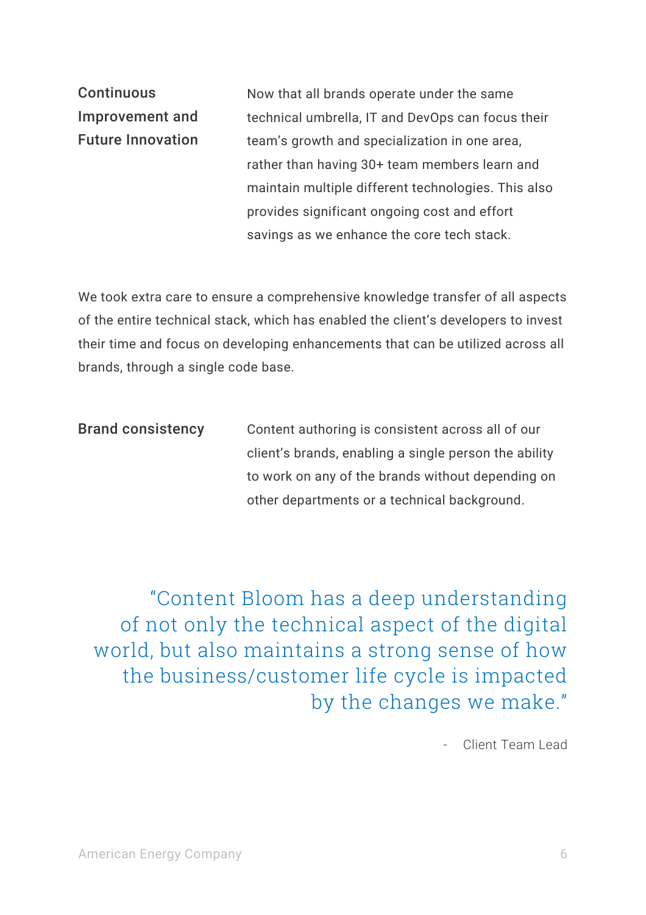**Continuous** Improvement and Future Innovation

Now that all brands operate under the same technical umbrella, IT and DevOps can focus their team's growth and specialization in one area, rather than having 30+ team members learn and maintain multiple different technologies. This also provides significant ongoing cost and effort savings as we enhance the core tech stack.

We took extra care to ensure a comprehensive knowledge transfer of all aspects of the entire technical stack, which has enabled the client's developers to invest their time and focus on developing enhancements that can be utilized across all brands, through a single code base.

| <b>Brand consistency</b> | Content authoring is consistent across all of our     |
|--------------------------|-------------------------------------------------------|
|                          | client's brands, enabling a single person the ability |
|                          | to work on any of the brands without depending on     |
|                          | other departments or a technical background.          |

"Content Bloom has a deep understanding of not only the technical aspect of the digital world, but also maintains a strong sense of how the business/customer life cycle is impacted by the changes we make."

- Client Team Lead